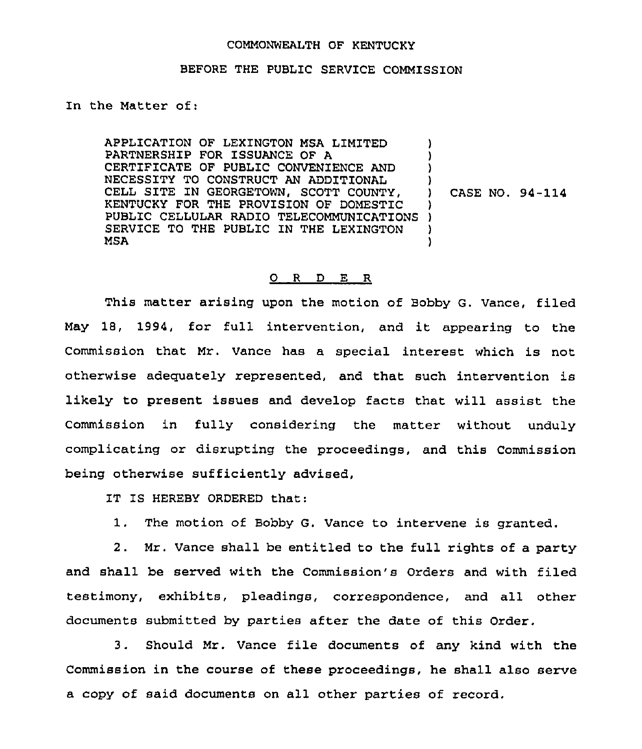## COMMONWEALTH OF KENTUCKY

## BEFORE THE PUBLIC SERVICE COMMISSION

In the Matter of:

APPLICATION OF LEXINGTON MSA LIMITED PARTNERSHIP FOR ISSUANCE OF A CERTIFICATE OF PUBLIC CONVENIENCE AND NECESSITY TO CONSTRUCT AN ADDITIONAL CELL SITE IN GEORGETOWN, SCOTT COUNTY, KENTUCKY FOR THE PROVISION OF DOMESTIC KENTOCKI FOR THE PROVISION OF DOMESTIC () SERVICE TO THE PUBLIC IN THE LEXINGTON MSA ) ) )  $\big\}$ ) CASE NO. 94-114 ) ) )

## 0 <sup>R</sup> <sup>D</sup> E R

This matter arising upon the motion of Bobby G. Vance, filed May 18, 1994, for full intervention, and it appearing to the Commission that Mr. Vance has a special interest which is not otherwise adequately represented, and that such intervention is likely to present issues and develop facts that will assist the Commission in fully considering the matter without unduly complicating or disrupting the proceedings, and this Commission being otherwise sufficiently advised,

IT IS HEREBY ORDERED that:

1. The motion of Bobby G. Vance to intervene is granted,

2. Mr. Vance shall be entitled to the full rights of a party and shall be served with the Commission's Orders and with filed testimony, exhibits, pleadings, correspondence, and all other documents submitted by parties after the date of this Order.

3. Should Mr. Vance file documents of any kind with the Commission in the course of these proceedings, he shall also serve a copy of said documents on all other parties of record.